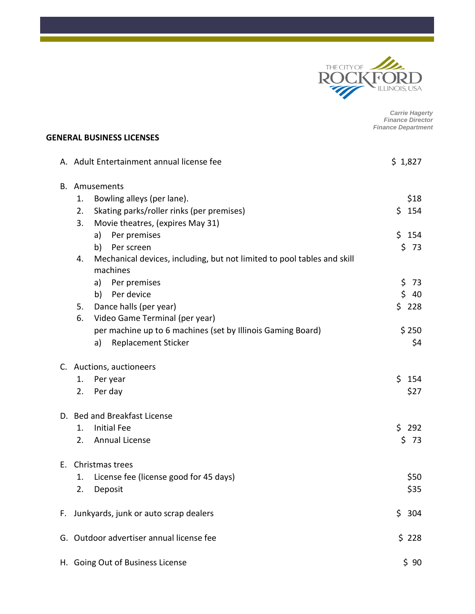

*Carrie Hagerty Finance Director Finance Department*

#### **GENERAL BUSINESS LICENSES**

|    | A. Adult Entertainment annual license fee                                                 |            |  |
|----|-------------------------------------------------------------------------------------------|------------|--|
| В. | Amusements                                                                                |            |  |
|    | Bowling alleys (per lane).<br>1.                                                          | \$18       |  |
|    | Skating parks/roller rinks (per premises)<br>2.                                           | \$.<br>154 |  |
|    | Movie theatres, (expires May 31)<br>3.                                                    |            |  |
|    | Per premises<br>a)                                                                        | \$154      |  |
|    | Per screen<br>b)                                                                          | \$<br>73   |  |
|    | Mechanical devices, including, but not limited to pool tables and skill<br>4.<br>machines |            |  |
|    | Per premises<br>a)                                                                        | \$<br>73   |  |
|    | Per device<br>b)                                                                          | \$<br>40   |  |
|    | Dance halls (per year)<br>5.                                                              | \$<br>228  |  |
|    | Video Game Terminal (per year)<br>6.                                                      |            |  |
|    | per machine up to 6 machines (set by Illinois Gaming Board)                               | \$250      |  |
|    | <b>Replacement Sticker</b><br>a)                                                          | \$4        |  |
|    | C. Auctions, auctioneers                                                                  |            |  |
|    | Per year<br>1.                                                                            | \$154      |  |
|    | Per day<br>2.                                                                             | \$27       |  |
|    | D. Bed and Breakfast License                                                              |            |  |
|    | <b>Initial Fee</b><br>1.                                                                  | \$<br>292  |  |
|    | <b>Annual License</b><br>2.                                                               | \$73       |  |
| Е. | Christmas trees                                                                           |            |  |
|    | License fee (license good for 45 days)<br>1.                                              | \$50       |  |
|    | Deposit<br>2.                                                                             | \$35       |  |
| F. | Junkyards, junk or auto scrap dealers                                                     | \$<br>304  |  |
|    | G. Outdoor advertiser annual license fee                                                  | \$228      |  |
|    | H. Going Out of Business License<br>\$90                                                  |            |  |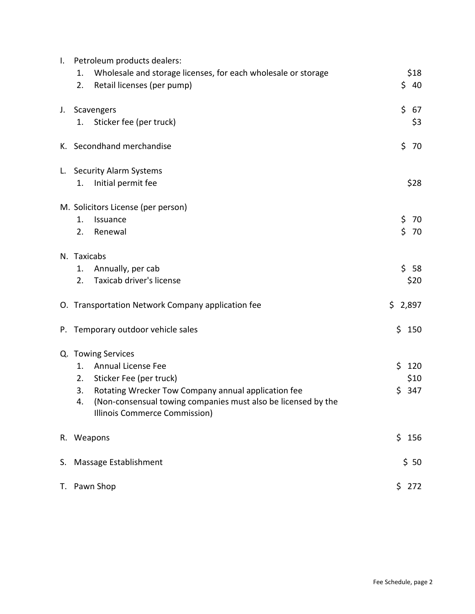| $\mathbf{I}$ . | Petroleum products dealers:                                                                                                                                       |            |  |  |
|----------------|-------------------------------------------------------------------------------------------------------------------------------------------------------------------|------------|--|--|
|                | Wholesale and storage licenses, for each wholesale or storage<br>1.                                                                                               | \$18       |  |  |
|                | Retail licenses (per pump)<br>2.                                                                                                                                  | \$<br>40   |  |  |
| J.             | Scavengers                                                                                                                                                        | \$<br>67   |  |  |
|                | Sticker fee (per truck)<br>1.                                                                                                                                     | \$3        |  |  |
|                | K. Secondhand merchandise                                                                                                                                         | \$<br>70   |  |  |
|                | L. Security Alarm Systems                                                                                                                                         |            |  |  |
|                | Initial permit fee<br>1.                                                                                                                                          | \$28       |  |  |
|                | M. Solicitors License (per person)                                                                                                                                |            |  |  |
|                | 1.<br>Issuance                                                                                                                                                    | \$<br>70   |  |  |
|                | 2.<br>Renewal                                                                                                                                                     | \$<br>70   |  |  |
|                | N. Taxicabs                                                                                                                                                       |            |  |  |
|                | Annually, per cab<br>1.                                                                                                                                           | \$<br>58   |  |  |
|                | Taxicab driver's license<br>2.                                                                                                                                    | \$20       |  |  |
|                | O. Transportation Network Company application fee                                                                                                                 | \$2,897    |  |  |
|                | P. Temporary outdoor vehicle sales                                                                                                                                | \$150      |  |  |
|                | Q. Towing Services                                                                                                                                                |            |  |  |
|                | Annual License Fee<br>1.                                                                                                                                          | \$120      |  |  |
|                | 2.<br>Sticker Fee (per truck)                                                                                                                                     | \$10       |  |  |
|                | 3.<br>Rotating Wrecker Tow Company annual application fee<br>(Non-consensual towing companies must also be licensed by the<br>4.<br>Illinois Commerce Commission) | \$.<br>347 |  |  |
|                | R. Weapons                                                                                                                                                        | \$156      |  |  |
|                | S. Massage Establishment<br>\$50                                                                                                                                  |            |  |  |
|                | T. Pawn Shop                                                                                                                                                      | \$272      |  |  |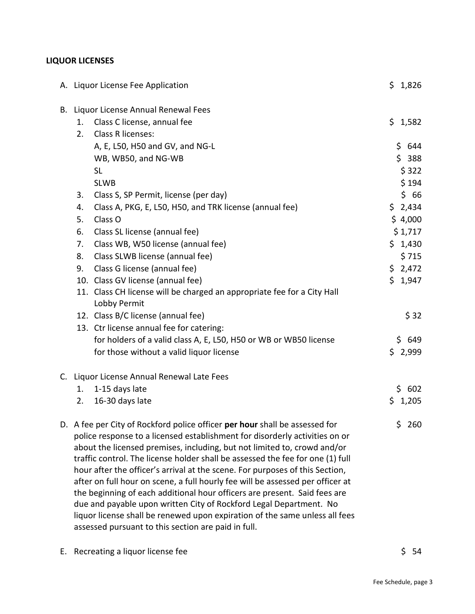# **LIQUOR LICENSES**

| A. Liquor License Fee Application                                                                                                                                                                                                                                                                                                                                                                                                                                                                                                                                                                                                                                                                                                                                                   | \$1,826 |
|-------------------------------------------------------------------------------------------------------------------------------------------------------------------------------------------------------------------------------------------------------------------------------------------------------------------------------------------------------------------------------------------------------------------------------------------------------------------------------------------------------------------------------------------------------------------------------------------------------------------------------------------------------------------------------------------------------------------------------------------------------------------------------------|---------|
| B. Liquor License Annual Renewal Fees                                                                                                                                                                                                                                                                                                                                                                                                                                                                                                                                                                                                                                                                                                                                               |         |
| Class C license, annual fee<br>1.                                                                                                                                                                                                                                                                                                                                                                                                                                                                                                                                                                                                                                                                                                                                                   | \$1,582 |
| Class R licenses:<br>2.                                                                                                                                                                                                                                                                                                                                                                                                                                                                                                                                                                                                                                                                                                                                                             |         |
| A, E, L50, H50 and GV, and NG-L                                                                                                                                                                                                                                                                                                                                                                                                                                                                                                                                                                                                                                                                                                                                                     | \$644   |
| WB, WB50, and NG-WB                                                                                                                                                                                                                                                                                                                                                                                                                                                                                                                                                                                                                                                                                                                                                                 | \$388   |
| <b>SL</b>                                                                                                                                                                                                                                                                                                                                                                                                                                                                                                                                                                                                                                                                                                                                                                           | \$322   |
| <b>SLWB</b>                                                                                                                                                                                                                                                                                                                                                                                                                                                                                                                                                                                                                                                                                                                                                                         | \$194   |
| Class S, SP Permit, license (per day)<br>3.                                                                                                                                                                                                                                                                                                                                                                                                                                                                                                                                                                                                                                                                                                                                         | \$66    |
| Class A, PKG, E, L50, H50, and TRK license (annual fee)<br>4.                                                                                                                                                                                                                                                                                                                                                                                                                                                                                                                                                                                                                                                                                                                       | \$2,434 |
| 5.<br>Class O                                                                                                                                                                                                                                                                                                                                                                                                                                                                                                                                                                                                                                                                                                                                                                       | \$4,000 |
| Class SL license (annual fee)<br>6.                                                                                                                                                                                                                                                                                                                                                                                                                                                                                                                                                                                                                                                                                                                                                 | \$1,717 |
| Class WB, W50 license (annual fee)<br>7.                                                                                                                                                                                                                                                                                                                                                                                                                                                                                                                                                                                                                                                                                                                                            | \$1,430 |
| Class SLWB license (annual fee)<br>8.                                                                                                                                                                                                                                                                                                                                                                                                                                                                                                                                                                                                                                                                                                                                               | \$715   |
| Class G license (annual fee)<br>9.                                                                                                                                                                                                                                                                                                                                                                                                                                                                                                                                                                                                                                                                                                                                                  | \$2,472 |
| 10. Class GV license (annual fee)                                                                                                                                                                                                                                                                                                                                                                                                                                                                                                                                                                                                                                                                                                                                                   | \$1,947 |
| 11. Class CH license will be charged an appropriate fee for a City Hall<br>Lobby Permit                                                                                                                                                                                                                                                                                                                                                                                                                                                                                                                                                                                                                                                                                             |         |
| 12. Class B/C license (annual fee)                                                                                                                                                                                                                                                                                                                                                                                                                                                                                                                                                                                                                                                                                                                                                  | \$32    |
| 13. Ctr license annual fee for catering:                                                                                                                                                                                                                                                                                                                                                                                                                                                                                                                                                                                                                                                                                                                                            |         |
| for holders of a valid class A, E, L50, H50 or WB or WB50 license                                                                                                                                                                                                                                                                                                                                                                                                                                                                                                                                                                                                                                                                                                                   | \$649   |
| for those without a valid liquor license                                                                                                                                                                                                                                                                                                                                                                                                                                                                                                                                                                                                                                                                                                                                            | \$2,999 |
| C. Liquor License Annual Renewal Late Fees                                                                                                                                                                                                                                                                                                                                                                                                                                                                                                                                                                                                                                                                                                                                          |         |
| 1-15 days late<br>1.                                                                                                                                                                                                                                                                                                                                                                                                                                                                                                                                                                                                                                                                                                                                                                | \$602   |
| 16-30 days late<br>2.                                                                                                                                                                                                                                                                                                                                                                                                                                                                                                                                                                                                                                                                                                                                                               | \$1,205 |
| D. A fee per City of Rockford police officer per hour shall be assessed for<br>police response to a licensed establishment for disorderly activities on or<br>about the licensed premises, including, but not limited to, crowd and/or<br>traffic control. The license holder shall be assessed the fee for one (1) full<br>hour after the officer's arrival at the scene. For purposes of this Section,<br>after on full hour on scene, a full hourly fee will be assessed per officer at<br>the beginning of each additional hour officers are present. Said fees are<br>due and payable upon written City of Rockford Legal Department. No<br>liquor license shall be renewed upon expiration of the same unless all fees<br>assessed pursuant to this section are paid in full. |         |

E. Recreating a liquor license fee  $\zeta$  54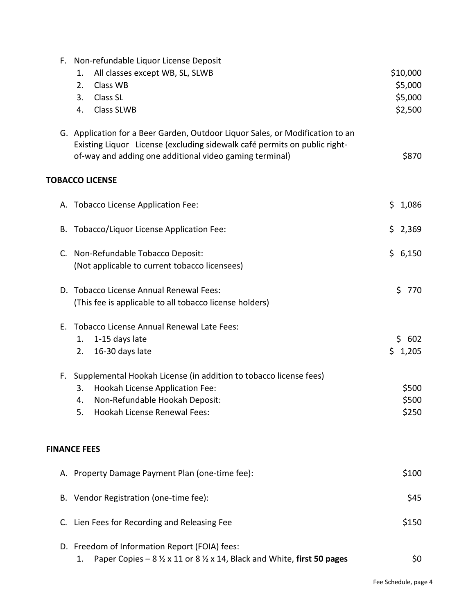| F. | Non-refundable Liquor License Deposit                                                            |              |
|----|--------------------------------------------------------------------------------------------------|--------------|
|    | All classes except WB, SL, SLWB<br>1.                                                            | \$10,000     |
|    | Class WB<br>2.                                                                                   | \$5,000      |
|    | Class SL<br>3.                                                                                   | \$5,000      |
|    | <b>Class SLWB</b><br>4.                                                                          | \$2,500      |
|    |                                                                                                  |              |
|    | G. Application for a Beer Garden, Outdoor Liquor Sales, or Modification to an                    |              |
|    | Existing Liquor License (excluding sidewalk café permits on public right-                        |              |
|    | of-way and adding one additional video gaming terminal)                                          | \$870        |
|    |                                                                                                  |              |
|    | <b>TOBACCO LICENSE</b>                                                                           |              |
|    | A. Tobacco License Application Fee:                                                              | \$.<br>1,086 |
|    |                                                                                                  |              |
|    | Tobacco/Liquor License Application Fee:<br>В.                                                    | \$2,369      |
|    |                                                                                                  |              |
|    | C. Non-Refundable Tobacco Deposit:                                                               | \$6,150      |
|    | (Not applicable to current tobacco licensees)                                                    |              |
|    | D. Tobacco License Annual Renewal Fees:                                                          | \$<br>770    |
|    | (This fee is applicable to all tobacco license holders)                                          |              |
|    |                                                                                                  |              |
| Е. | <b>Tobacco License Annual Renewal Late Fees:</b>                                                 |              |
|    | 1-15 days late<br>1.                                                                             | \$602        |
|    | 16-30 days late<br>2.                                                                            | \$1,205      |
|    | Supplemental Hookah License (in addition to tobacco license fees)<br>F.                          |              |
|    | Hookah License Application Fee:<br>3.                                                            | \$500        |
|    | Non-Refundable Hookah Deposit:<br>4.                                                             | \$500        |
|    | <b>Hookah License Renewal Fees:</b><br>5.                                                        | \$250        |
|    |                                                                                                  |              |
|    |                                                                                                  |              |
|    | <b>FINANCE FEES</b>                                                                              |              |
|    | A. Property Damage Payment Plan (one-time fee):                                                  | \$100        |
|    |                                                                                                  |              |
|    | B. Vendor Registration (one-time fee):                                                           | \$45         |
| C. | Lien Fees for Recording and Releasing Fee                                                        | \$150        |
|    |                                                                                                  |              |
|    | D. Freedom of Information Report (FOIA) fees:                                                    |              |
|    | Paper Copies – $8\frac{1}{2}$ x 11 or $8\frac{1}{2}$ x 14, Black and White, first 50 pages<br>1. | \$0          |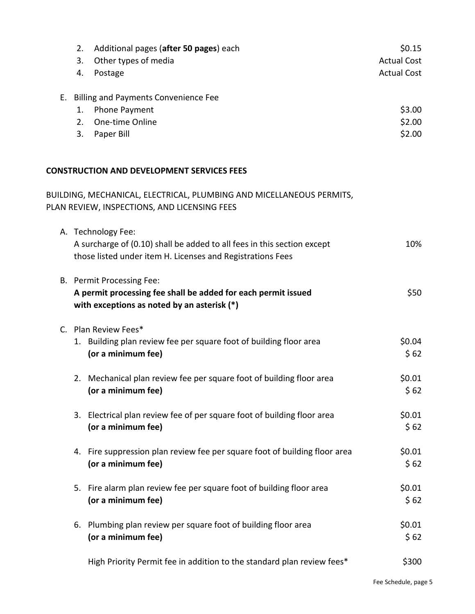| 2.             | Additional pages (after 50 pages) each            | \$0.15             |
|----------------|---------------------------------------------------|--------------------|
| 3.             | Other types of media                              | <b>Actual Cost</b> |
| 4.             | Postage                                           | <b>Actual Cost</b> |
|                | E. Billing and Payments Convenience Fee           |                    |
| 1.             | Phone Payment                                     | \$3.00             |
| 2 <sub>1</sub> | One-time Online                                   | \$2.00             |
| 3.             | Paper Bill                                        | \$2.00             |
|                |                                                   |                    |
|                | <b>CONSTRUCTION AND DEVELOPMENT SERVICES FEES</b> |                    |
|                |                                                   |                    |

# BUILDING, MECHANICAL, ELECTRICAL, PLUMBING AND MICELLANEOUS PERMITS, PLAN REVIEW, INSPECTIONS, AND LICENSING FEES A. Technology Fee: A surcharge of (0.10) shall be added to all fees in this section except 10% those listed under item H. Licenses and Registrations Fees B. Permit Processing Fee: A permit processing fee shall be added for each permit issued<br>
\$50 **with exceptions as noted by an asterisk (\*)** C. Plan Review Fees\* 1. Building plan review fee per square foot of building floor area \$0.04 **(or a minimum fee)**  $\leq 62$ 2. Mechanical plan review fee per square foot of building floor area  $\sim$  \$0.01 **(or a minimum fee)** \$62 3. Electrical plan review fee of per square foot of building floor area  $$0.01$ **(or a minimum fee)** \$ 62 4. Fire suppression plan review fee per square foot of building floor area  $$0.01$ **(or a minimum fee)** \$ 62 5. Fire alarm plan review fee per square foot of building floor area  $$0.01$ **(or a minimum fee)** \$62 6. Plumbing plan review per square foot of building floor area  $$0.01$ **(or a minimum fee)** \$ 62

High Priority Permit fee in addition to the standard plan review fees\* \$300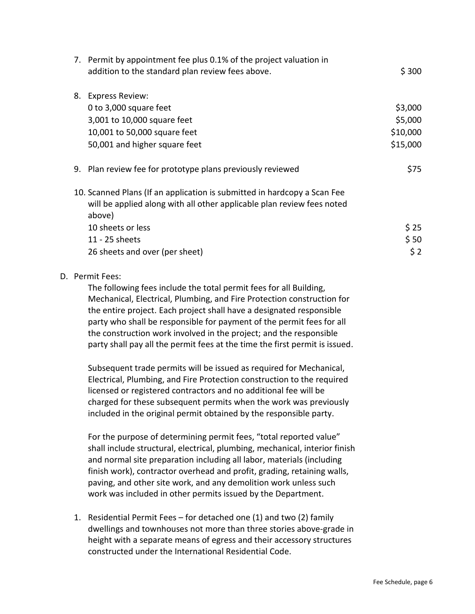|    | 7. Permit by appointment fee plus 0.1% of the project valuation in<br>addition to the standard plan review fees above.                                       | \$300    |
|----|--------------------------------------------------------------------------------------------------------------------------------------------------------------|----------|
| 8. | <b>Express Review:</b>                                                                                                                                       |          |
|    | 0 to 3,000 square feet                                                                                                                                       | \$3,000  |
|    | 3,001 to 10,000 square feet                                                                                                                                  | \$5,000  |
|    | 10,001 to 50,000 square feet                                                                                                                                 | \$10,000 |
|    | 50,001 and higher square feet                                                                                                                                | \$15,000 |
|    | 9. Plan review fee for prototype plans previously reviewed                                                                                                   | \$75     |
|    | 10. Scanned Plans (If an application is submitted in hardcopy a Scan Fee<br>will be applied along with all other applicable plan review fees noted<br>above) |          |
|    | 10 sheets or less                                                                                                                                            | \$25     |
|    | 11 - 25 sheets                                                                                                                                               | \$50     |
|    | 26 sheets and over (per sheet)                                                                                                                               | \$2      |
|    |                                                                                                                                                              |          |

#### D. Permit Fees:

The following fees include the total permit fees for all Building, Mechanical, Electrical, Plumbing, and Fire Protection construction for the entire project. Each project shall have a designated responsible party who shall be responsible for payment of the permit fees for all the construction work involved in the project; and the responsible party shall pay all the permit fees at the time the first permit is issued.

Subsequent trade permits will be issued as required for Mechanical, Electrical, Plumbing, and Fire Protection construction to the required licensed or registered contractors and no additional fee will be charged for these subsequent permits when the work was previously included in the original permit obtained by the responsible party.

For the purpose of determining permit fees, "total reported value" shall include structural, electrical, plumbing, mechanical, interior finish and normal site preparation including all labor, materials (including finish work), contractor overhead and profit, grading, retaining walls, paving, and other site work, and any demolition work unless such work was included in other permits issued by the Department.

1. Residential Permit Fees – for detached one (1) and two (2) family dwellings and townhouses not more than three stories above-grade in height with a separate means of egress and their accessory structures constructed under the International Residential Code.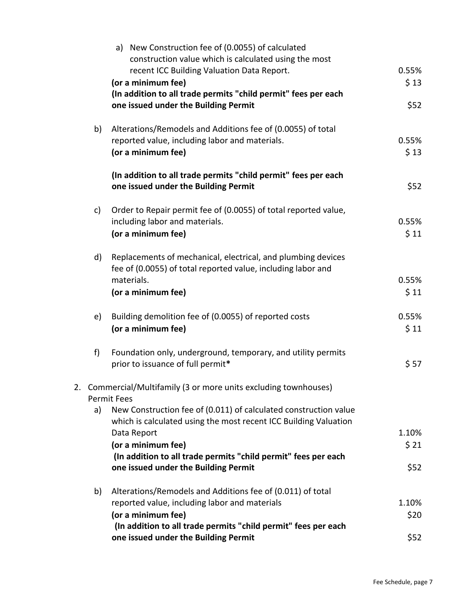|    |    | a) New Construction fee of (0.0055) of calculated<br>construction value which is calculated using the most                   |       |
|----|----|------------------------------------------------------------------------------------------------------------------------------|-------|
|    |    | recent ICC Building Valuation Data Report.                                                                                   | 0.55% |
|    |    | (or a minimum fee)                                                                                                           | \$13  |
|    |    | (In addition to all trade permits "child permit" fees per each                                                               |       |
|    |    | one issued under the Building Permit                                                                                         | \$52  |
|    | b) | Alterations/Remodels and Additions fee of (0.0055) of total                                                                  |       |
|    |    | reported value, including labor and materials.                                                                               | 0.55% |
|    |    | (or a minimum fee)                                                                                                           | \$13  |
|    |    | (In addition to all trade permits "child permit" fees per each                                                               |       |
|    |    | one issued under the Building Permit                                                                                         | \$52  |
|    | c) | Order to Repair permit fee of (0.0055) of total reported value,                                                              |       |
|    |    | including labor and materials.                                                                                               | 0.55% |
|    |    | (or a minimum fee)                                                                                                           | \$11  |
|    | d) | Replacements of mechanical, electrical, and plumbing devices<br>fee of (0.0055) of total reported value, including labor and |       |
|    |    | materials.                                                                                                                   | 0.55% |
|    |    | (or a minimum fee)                                                                                                           | \$11  |
|    | e) | Building demolition fee of (0.0055) of reported costs                                                                        | 0.55% |
|    |    | (or a minimum fee)                                                                                                           | \$11  |
|    | f  | Foundation only, underground, temporary, and utility permits                                                                 |       |
|    |    | prior to issuance of full permit*                                                                                            | \$57  |
| 2. |    | Commercial/Multifamily (3 or more units excluding townhouses)                                                                |       |
|    |    | <b>Permit Fees</b>                                                                                                           |       |
|    | a) | New Construction fee of (0.011) of calculated construction value                                                             |       |
|    |    | which is calculated using the most recent ICC Building Valuation<br>Data Report                                              | 1.10% |
|    |    | (or a minimum fee)                                                                                                           | \$21  |
|    |    | (In addition to all trade permits "child permit" fees per each                                                               |       |
|    |    | one issued under the Building Permit                                                                                         | \$52  |
|    | b) | Alterations/Remodels and Additions fee of (0.011) of total                                                                   |       |
|    |    | reported value, including labor and materials                                                                                | 1.10% |
|    |    | (or a minimum fee)                                                                                                           | \$20  |
|    |    | (In addition to all trade permits "child permit" fees per each                                                               |       |
|    |    | one issued under the Building Permit                                                                                         | \$52  |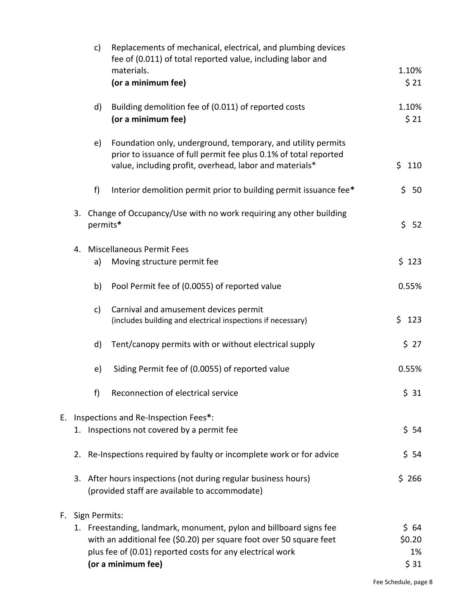|    |    | $\mathsf{c}$  | Replacements of mechanical, electrical, and plumbing devices<br>fee of (0.011) of total reported value, including labor and<br>materials.                                                   | 1.10%          |
|----|----|---------------|---------------------------------------------------------------------------------------------------------------------------------------------------------------------------------------------|----------------|
|    |    |               | (or a minimum fee)                                                                                                                                                                          | \$21           |
|    |    | d)            | Building demolition fee of (0.011) of reported costs<br>(or a minimum fee)                                                                                                                  | 1.10%<br>\$21  |
|    |    | e)            | Foundation only, underground, temporary, and utility permits<br>prior to issuance of full permit fee plus 0.1% of total reported<br>value, including profit, overhead, labor and materials* | \$<br>110      |
|    |    | f)            | Interior demolition permit prior to building permit issuance fee*                                                                                                                           | \$<br>50       |
|    |    | permits*      | 3. Change of Occupancy/Use with no work requiring any other building                                                                                                                        | \$<br>52       |
|    | 4. |               | <b>Miscellaneous Permit Fees</b>                                                                                                                                                            |                |
|    |    | a)            | Moving structure permit fee                                                                                                                                                                 | \$123          |
|    |    | b)            | Pool Permit fee of (0.0055) of reported value                                                                                                                                               | 0.55%          |
|    |    | c)            | Carnival and amusement devices permit<br>(includes building and electrical inspections if necessary)                                                                                        | \$<br>123      |
|    |    | d)            | Tent/canopy permits with or without electrical supply                                                                                                                                       | \$27           |
|    |    | e)            | Siding Permit fee of (0.0055) of reported value                                                                                                                                             | 0.55%          |
|    |    | f)            | Reconnection of electrical service                                                                                                                                                          | \$31           |
| Е. |    |               | Inspections and Re-Inspection Fees*:                                                                                                                                                        |                |
|    |    |               | 1. Inspections not covered by a permit fee                                                                                                                                                  | $$54$          |
|    |    |               | 2. Re-Inspections required by faulty or incomplete work or for advice                                                                                                                       | \$54           |
|    |    |               | 3. After hours inspections (not during regular business hours)<br>(provided staff are available to accommodate)                                                                             | \$266          |
| F. |    | Sign Permits: |                                                                                                                                                                                             |                |
|    |    |               | 1. Freestanding, landmark, monument, pylon and billboard signs fee<br>with an additional fee (\$0.20) per square foot over 50 square feet                                                   | \$64<br>\$0.20 |
|    |    |               | plus fee of (0.01) reported costs for any electrical work                                                                                                                                   | 1%             |
|    |    |               | (or a minimum fee)                                                                                                                                                                          | \$31           |

F.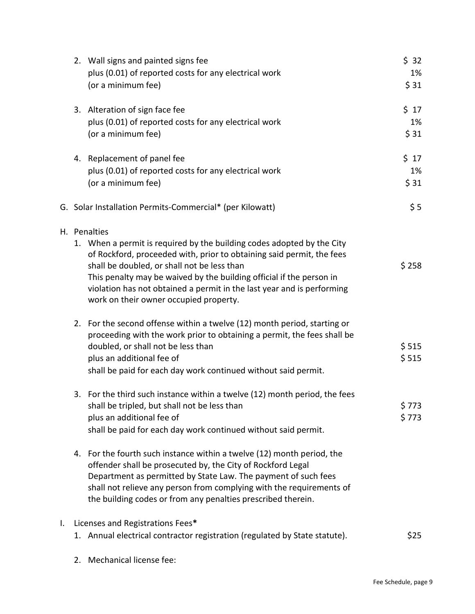|    | 2. Wall signs and painted signs fee<br>plus (0.01) of reported costs for any electrical work                                                                                                                                                                                                                                                                                                               | \$32<br>1%      |
|----|------------------------------------------------------------------------------------------------------------------------------------------------------------------------------------------------------------------------------------------------------------------------------------------------------------------------------------------------------------------------------------------------------------|-----------------|
|    | (or a minimum fee)                                                                                                                                                                                                                                                                                                                                                                                         | \$31            |
|    | 3. Alteration of sign face fee<br>plus (0.01) of reported costs for any electrical work                                                                                                                                                                                                                                                                                                                    | $$17$<br>1%     |
|    | (or a minimum fee)                                                                                                                                                                                                                                                                                                                                                                                         | \$ 31           |
|    | 4. Replacement of panel fee                                                                                                                                                                                                                                                                                                                                                                                | $$17$           |
|    | plus (0.01) of reported costs for any electrical work<br>(or a minimum fee)                                                                                                                                                                                                                                                                                                                                | 1%<br>\$31      |
|    | G. Solar Installation Permits-Commercial* (per Kilowatt)                                                                                                                                                                                                                                                                                                                                                   | \$5             |
|    | H. Penalties<br>1. When a permit is required by the building codes adopted by the City<br>of Rockford, proceeded with, prior to obtaining said permit, the fees<br>shall be doubled, or shall not be less than<br>This penalty may be waived by the building official if the person in<br>violation has not obtained a permit in the last year and is performing<br>work on their owner occupied property. | \$258           |
|    | 2. For the second offense within a twelve (12) month period, starting or<br>proceeding with the work prior to obtaining a permit, the fees shall be<br>doubled, or shall not be less than<br>plus an additional fee of<br>shall be paid for each day work continued without said permit.                                                                                                                   | \$515<br>\$515  |
|    | 3. For the third such instance within a twelve (12) month period, the fees<br>shall be tripled, but shall not be less than<br>plus an additional fee of<br>shall be paid for each day work continued without said permit.                                                                                                                                                                                  | \$ 773<br>\$773 |
|    | 4. For the fourth such instance within a twelve (12) month period, the<br>offender shall be prosecuted by, the City of Rockford Legal<br>Department as permitted by State Law. The payment of such fees<br>shall not relieve any person from complying with the requirements of<br>the building codes or from any penalties prescribed therein.                                                            |                 |
| I. | Licenses and Registrations Fees*<br>1. Annual electrical contractor registration (regulated by State statute).                                                                                                                                                                                                                                                                                             | \$25            |
|    |                                                                                                                                                                                                                                                                                                                                                                                                            |                 |

2. Mechanical license fee: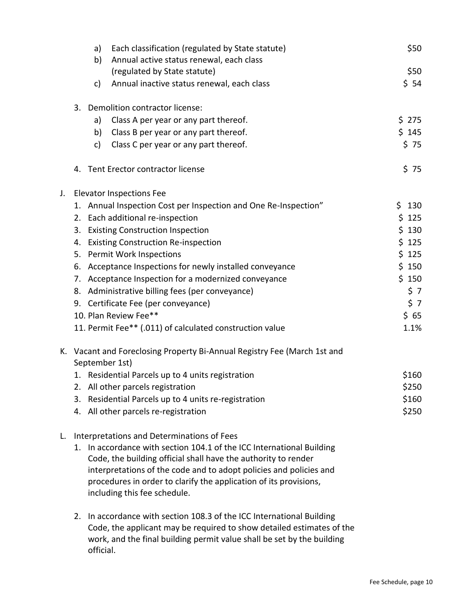|    |    | a) | Each classification (regulated by State statute)                                           | \$50  |
|----|----|----|--------------------------------------------------------------------------------------------|-------|
|    |    | b) | Annual active status renewal, each class<br>(regulated by State statute)                   | \$50  |
|    |    | c) | Annual inactive status renewal, each class                                                 | \$54  |
|    |    |    |                                                                                            |       |
|    |    |    | 3. Demolition contractor license:                                                          |       |
|    |    | a) | Class A per year or any part thereof.                                                      | \$275 |
|    |    | b) | Class B per year or any part thereof.                                                      | \$145 |
|    |    | c) | Class C per year or any part thereof.                                                      | \$75  |
|    | 4. |    | Tent Erector contractor license                                                            | \$75  |
| J. |    |    | <b>Elevator Inspections Fee</b>                                                            |       |
|    |    |    | 1. Annual Inspection Cost per Inspection and One Re-Inspection"                            | \$130 |
|    |    |    | 2. Each additional re-inspection                                                           | \$125 |
|    |    |    | 3. Existing Construction Inspection                                                        | \$130 |
|    |    |    | 4. Existing Construction Re-inspection                                                     | \$125 |
|    |    |    | 5. Permit Work Inspections                                                                 | \$125 |
|    |    |    | 6. Acceptance Inspections for newly installed conveyance                                   | \$150 |
|    |    |    | 7. Acceptance Inspection for a modernized conveyance                                       | \$150 |
|    |    |    | 8. Administrative billing fees (per conveyance)                                            | \$7   |
|    |    |    | 9. Certificate Fee (per conveyance)                                                        | \$7   |
|    |    |    | 10. Plan Review Fee**                                                                      | \$65  |
|    |    |    | 11. Permit Fee** (.011) of calculated construction value                                   | 1.1%  |
|    |    |    | K. Vacant and Foreclosing Property Bi-Annual Registry Fee (March 1st and<br>September 1st) |       |
|    |    |    | 1. Residential Parcels up to 4 units registration                                          | \$160 |
|    |    |    | 2. All other parcels registration                                                          | \$250 |
|    |    |    | 3. Residential Parcels up to 4 units re-registration                                       | \$160 |
|    |    |    | 4. All other parcels re-registration                                                       | \$250 |
| L. |    |    | Interpretations and Determinations of Fees                                                 |       |
|    |    |    | 1. In accordance with section 104.1 of the ICC International Building                      |       |
|    |    |    | Code, the building official shall have the authority to render                             |       |
|    |    |    | interpretations of the code and to adopt policies and policies and                         |       |
|    |    |    | procedures in order to clarify the application of its provisions,                          |       |
|    |    |    | including this fee schedule.                                                               |       |
|    | 2. |    | In accordance with section 108.3 of the ICC International Building                         |       |
|    |    |    | Code, the applicant may be required to show detailed estimates of the                      |       |
|    |    |    | work, and the final building permit value shall be set by the building                     |       |

official.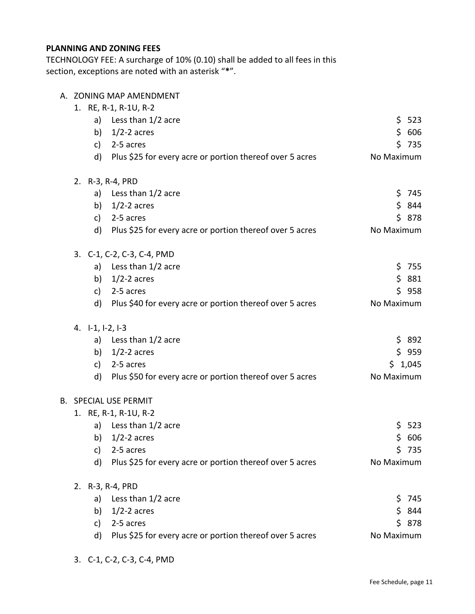# **PLANNING AND ZONING FEES**

TECHNOLOGY FEE: A surcharge of 10% (0.10) shall be added to all fees in this section, exceptions are noted with an asterisk "**\***".

| A. ZONING MAP AMENDMENT |
|-------------------------|
|-------------------------|

|                     | 1. RE, R-1, R-1U, R-2                                    |            |
|---------------------|----------------------------------------------------------|------------|
|                     | a) Less than 1/2 acre                                    | \$523      |
|                     | b) $1/2-2$ acres                                         | \$606      |
| c)                  | 2-5 acres                                                | \$735      |
| d)                  | Plus \$25 for every acre or portion thereof over 5 acres | No Maximum |
|                     | 2. R-3, R-4, PRD                                         |            |
|                     | a) Less than 1/2 acre                                    | \$745      |
|                     | b) $1/2-2$ acres                                         | \$844      |
| c)                  | 2-5 acres                                                | \$878      |
| d)                  | Plus \$25 for every acre or portion thereof over 5 acres | No Maximum |
|                     | 3. C-1, C-2, C-3, C-4, PMD                               |            |
|                     | a) Less than 1/2 acre                                    | \$755      |
| b)                  | $1/2$ -2 acres                                           | \$881      |
| c)                  | 2-5 acres                                                | \$958      |
| $\mathsf{d}$        | Plus \$40 for every acre or portion thereof over 5 acres | No Maximum |
| 4. $[-1, 1-2, 1-3]$ |                                                          |            |
|                     | a) Less than 1/2 acre                                    | \$892      |
|                     | b) $1/2-2$ acres                                         | \$959      |
| c)                  | 2-5 acres                                                | \$1,045    |
| d)                  | Plus \$50 for every acre or portion thereof over 5 acres | No Maximum |
|                     | <b>B. SPECIAL USE PERMIT</b>                             |            |
|                     | 1. RE, R-1, R-1U, R-2                                    |            |
|                     | a) Less than 1/2 acre                                    | \$523      |
| b)                  | $1/2$ -2 acres                                           | \$606      |
| $\mathsf{C}$ )      | 2-5 acres                                                | \$735      |
| d)                  | Plus \$25 for every acre or portion thereof over 5 acres | No Maximum |
|                     | 2. R-3, R-4, PRD                                         |            |
| a)                  | Less than 1/2 acre                                       | \$.<br>745 |
| b)                  | $1/2-2$ acres                                            | \$844      |
| c)                  | 2-5 acres                                                | \$878      |
| d)                  | Plus \$25 for every acre or portion thereof over 5 acres | No Maximum |

3. C-1, C-2, C-3, C-4, PMD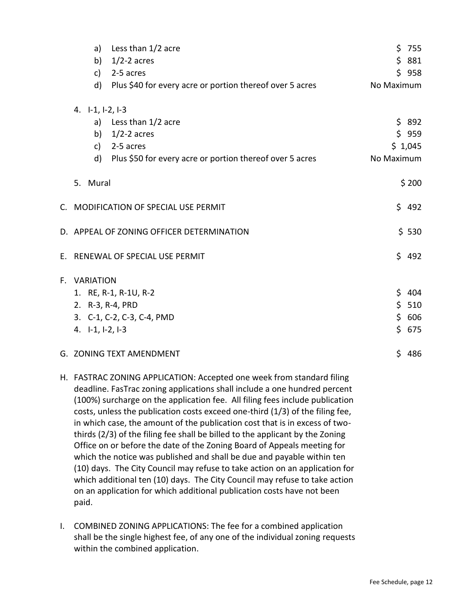| a)                       | Less than 1/2 acre                                       | \$755      |
|--------------------------|----------------------------------------------------------|------------|
| b)                       | $1/2$ -2 acres                                           | \$<br>881  |
| c)                       | 2-5 acres                                                | \$958      |
| $\mathsf{d}$             | Plus \$40 for every acre or portion thereof over 5 acres | No Maximum |
| 4. $I-1$ , $I-2$ , $I-3$ |                                                          |            |
|                          | a) Less than 1/2 acre                                    | \$892      |
|                          | b) $1/2-2$ acres                                         | \$959      |
| c)                       | 2-5 acres                                                | \$1,045    |
| $\mathsf{d}$             | Plus \$50 for every acre or portion thereof over 5 acres | No Maximum |
| 5. Mural                 |                                                          | \$200      |
|                          | C. MODIFICATION OF SPECIAL USE PERMIT                    | \$492      |
|                          | D. APPEAL OF ZONING OFFICER DETERMINATION                | \$530      |
|                          | E. RENEWAL OF SPECIAL USE PERMIT                         | \$492      |
| F. VARIATION             |                                                          |            |
|                          | 1. RE, R-1, R-1U, R-2                                    | \$404      |
|                          | 2. R-3, R-4, PRD                                         | \$510      |
|                          | 3. C-1, C-2, C-3, C-4, PMD                               | \$<br>606  |
| 4. I-1, I-2, I-3         |                                                          | \$675      |
|                          | G. ZONING TEXT AMENDMENT                                 | \$486      |

- H. FASTRAC ZONING APPLICATION: Accepted one week from standard filing deadline. FasTrac zoning applications shall include a one hundred percent (100%) surcharge on the application fee. All filing fees include publication costs, unless the publication costs exceed one-third (1/3) of the filing fee, in which case, the amount of the publication cost that is in excess of twothirds (2/3) of the filing fee shall be billed to the applicant by the Zoning Office on or before the date of the Zoning Board of Appeals meeting for which the notice was published and shall be due and payable within ten (10) days. The City Council may refuse to take action on an application for which additional ten (10) days. The City Council may refuse to take action on an application for which additional publication costs have not been paid.
- I. COMBINED ZONING APPLICATIONS: The fee for a combined application shall be the single highest fee, of any one of the individual zoning requests within the combined application.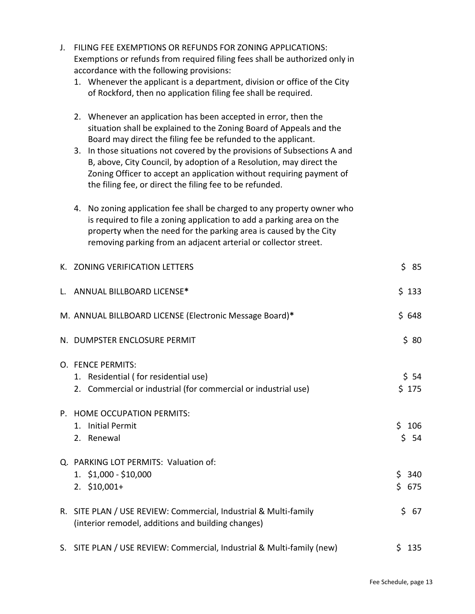| 1. Whenever the applicant is a department, division or office of the City<br>of Rockford, then no application filing fee shall be required.                                                                                                                                                                                                                                                                                                                                                     |                    |
|-------------------------------------------------------------------------------------------------------------------------------------------------------------------------------------------------------------------------------------------------------------------------------------------------------------------------------------------------------------------------------------------------------------------------------------------------------------------------------------------------|--------------------|
| 2. Whenever an application has been accepted in error, then the<br>situation shall be explained to the Zoning Board of Appeals and the<br>Board may direct the filing fee be refunded to the applicant.<br>3. In those situations not covered by the provisions of Subsections A and<br>B, above, City Council, by adoption of a Resolution, may direct the<br>Zoning Officer to accept an application without requiring payment of<br>the filing fee, or direct the filing fee to be refunded. |                    |
| 4. No zoning application fee shall be charged to any property owner who<br>is required to file a zoning application to add a parking area on the<br>property when the need for the parking area is caused by the City<br>removing parking from an adjacent arterial or collector street.                                                                                                                                                                                                        |                    |
| K. ZONING VERIFICATION LETTERS                                                                                                                                                                                                                                                                                                                                                                                                                                                                  | \$85               |
| L. ANNUAL BILLBOARD LICENSE*                                                                                                                                                                                                                                                                                                                                                                                                                                                                    | \$133              |
| M. ANNUAL BILLBOARD LICENSE (Electronic Message Board)*                                                                                                                                                                                                                                                                                                                                                                                                                                         | \$648              |
| N. DUMPSTER ENCLOSURE PERMIT                                                                                                                                                                                                                                                                                                                                                                                                                                                                    | \$80               |
| O. FENCE PERMITS:<br>1. Residential (for residential use)<br>2. Commercial or industrial (for commercial or industrial use)                                                                                                                                                                                                                                                                                                                                                                     | \$54<br>\$175      |
| P. HOME OCCUPATION PERMITS:<br>1. Initial Permit<br>Renewal<br>2.                                                                                                                                                                                                                                                                                                                                                                                                                               | \$106<br>\$<br>-54 |
| Q. PARKING LOT PERMITS: Valuation of:<br>$1.$ \$1,000 - \$10,000<br>$2. \; $10,001+$                                                                                                                                                                                                                                                                                                                                                                                                            | \$<br>340<br>\$675 |
| R. SITE PLAN / USE REVIEW: Commercial, Industrial & Multi-family<br>(interior remodel, additions and building changes)                                                                                                                                                                                                                                                                                                                                                                          | \$<br>67           |
| S. SITE PLAN / USE REVIEW: Commercial, Industrial & Multi-family (new)                                                                                                                                                                                                                                                                                                                                                                                                                          | \$135              |

J. FILING FEE EXEMPTIONS OR REFUNDS FOR ZONING APPLICATIONS:

accordance with the following provisions:

Exemptions or refunds from required filing fees shall be authorized only in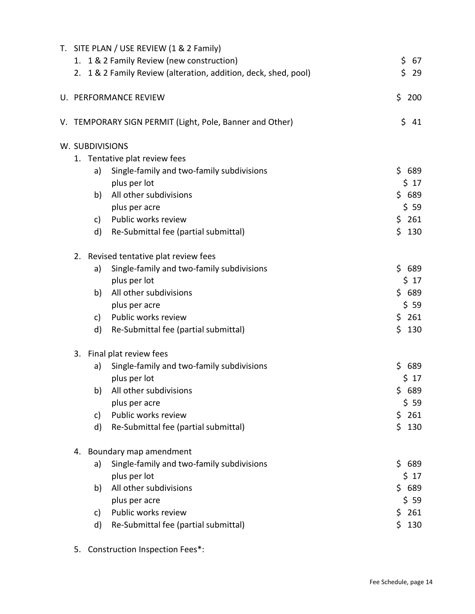|                 | T. SITE PLAN / USE REVIEW (1 & 2 Family)                        |            |
|-----------------|-----------------------------------------------------------------|------------|
|                 | 1. 1 & 2 Family Review (new construction)                       | \$<br>67   |
|                 | 2. 1 & 2 Family Review (alteration, addition, deck, shed, pool) | \$<br>29   |
|                 | U. PERFORMANCE REVIEW                                           | \$<br>200  |
|                 | V. TEMPORARY SIGN PERMIT (Light, Pole, Banner and Other)        | \$<br>41   |
| W. SUBDIVISIONS |                                                                 |            |
|                 | 1. Tentative plat review fees                                   |            |
| a)              | Single-family and two-family subdivisions                       | \$689      |
|                 | plus per lot                                                    | \$17       |
| b)              | All other subdivisions                                          | \$689      |
|                 | plus per acre                                                   | \$59       |
| c)              | Public works review                                             | \$261      |
| d)              | Re-Submittal fee (partial submittal)                            | \$<br>130  |
| 2.              | Revised tentative plat review fees                              |            |
| a)              | Single-family and two-family subdivisions                       | \$689      |
|                 | plus per lot                                                    | \$17       |
| b)              | All other subdivisions                                          | \$689      |
|                 | plus per acre                                                   | \$59       |
| c)              | Public works review                                             | \$261      |
| d)              | Re-Submittal fee (partial submittal)                            | \$<br>130  |
| 3.              | Final plat review fees                                          |            |
| a)              | Single-family and two-family subdivisions                       | \$<br>689  |
|                 | plus per lot                                                    | \$17       |
|                 | All other subdivisions<br>b)                                    | \$689      |
|                 | plus per acre                                                   | \$59       |
| c)              | Public works review                                             | \$<br>261  |
| d)              | Re-Submittal fee (partial submittal)                            | \$<br>130  |
| 4.              | Boundary map amendment                                          |            |
| a)              | Single-family and two-family subdivisions                       | \$.<br>689 |
|                 | plus per lot                                                    | \$17       |
| b)              | All other subdivisions                                          | \$689      |
|                 | plus per acre                                                   | \$59       |
| c)              | Public works review                                             | \$<br>261  |
| d)              | Re-Submittal fee (partial submittal)                            | \$<br>130  |
|                 |                                                                 |            |

5. Construction Inspection Fees\*: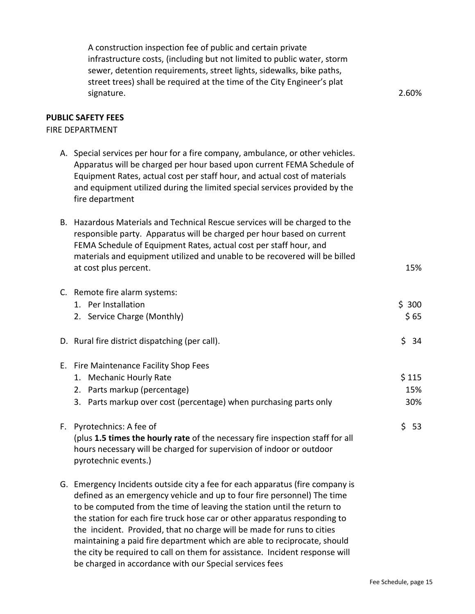| A construction inspection fee of public and certain private<br>infrastructure costs, (including but not limited to public water, storm<br>sewer, detention requirements, street lights, sidewalks, bike paths,<br>street trees) shall be required at the time of the City Engineer's plat<br>signature.                                                                                                                                                                | 2.60%               |
|------------------------------------------------------------------------------------------------------------------------------------------------------------------------------------------------------------------------------------------------------------------------------------------------------------------------------------------------------------------------------------------------------------------------------------------------------------------------|---------------------|
| <b>PUBLIC SAFETY FEES</b><br><b>FIRE DEPARTMENT</b>                                                                                                                                                                                                                                                                                                                                                                                                                    |                     |
| A. Special services per hour for a fire company, ambulance, or other vehicles.<br>Apparatus will be charged per hour based upon current FEMA Schedule of<br>Equipment Rates, actual cost per staff hour, and actual cost of materials<br>and equipment utilized during the limited special services provided by the<br>fire department                                                                                                                                 |                     |
| B. Hazardous Materials and Technical Rescue services will be charged to the<br>responsible party. Apparatus will be charged per hour based on current<br>FEMA Schedule of Equipment Rates, actual cost per staff hour, and<br>materials and equipment utilized and unable to be recovered will be billed<br>at cost plus percent.                                                                                                                                      | 15%                 |
| C. Remote fire alarm systems:<br>1. Per Installation<br>2. Service Charge (Monthly)                                                                                                                                                                                                                                                                                                                                                                                    | \$300<br>\$65       |
| D. Rural fire district dispatching (per call).                                                                                                                                                                                                                                                                                                                                                                                                                         | \$<br>34            |
| E. Fire Maintenance Facility Shop Fees<br>1. Mechanic Hourly Rate<br>2. Parts markup (percentage)<br>3. Parts markup over cost (percentage) when purchasing parts only                                                                                                                                                                                                                                                                                                 | \$115<br>15%<br>30% |
| F. Pyrotechnics: A fee of<br>(plus 1.5 times the hourly rate of the necessary fire inspection staff for all<br>hours necessary will be charged for supervision of indoor or outdoor<br>pyrotechnic events.)                                                                                                                                                                                                                                                            | \$53                |
| G. Emergency Incidents outside city a fee for each apparatus (fire company is<br>defined as an emergency vehicle and up to four fire personnel) The time<br>to be computed from the time of leaving the station until the return to<br>the station for each fire truck hose car or other apparatus responding to<br>the incident. Provided, that no charge will be made for runs to cities<br>maintaining a paid fire department which are able to reciprocate, should |                     |

the city be required to call on them for assistance. Incident response will

be charged in accordance with our Special services fees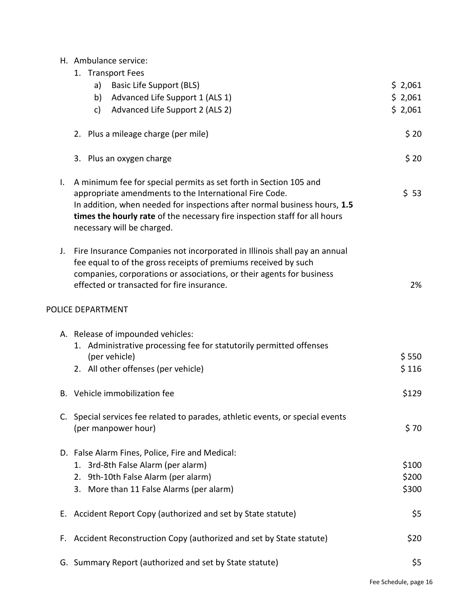|  | H. Ambulance service: |  |
|--|-----------------------|--|
|--|-----------------------|--|

|    | 1. Transport Fees                                                                                                                                                                                                                                                                                                    |         |
|----|----------------------------------------------------------------------------------------------------------------------------------------------------------------------------------------------------------------------------------------------------------------------------------------------------------------------|---------|
|    | a)<br><b>Basic Life Support (BLS)</b>                                                                                                                                                                                                                                                                                | \$2,061 |
|    | Advanced Life Support 1 (ALS 1)<br>b)                                                                                                                                                                                                                                                                                | \$2,061 |
|    | Advanced Life Support 2 (ALS 2)<br>c)                                                                                                                                                                                                                                                                                | \$2,061 |
|    |                                                                                                                                                                                                                                                                                                                      |         |
|    | 2. Plus a mileage charge (per mile)                                                                                                                                                                                                                                                                                  | \$20    |
|    |                                                                                                                                                                                                                                                                                                                      |         |
|    | 3. Plus an oxygen charge                                                                                                                                                                                                                                                                                             | \$20    |
| Ι. | A minimum fee for special permits as set forth in Section 105 and<br>appropriate amendments to the International Fire Code.<br>In addition, when needed for inspections after normal business hours, 1.5<br>times the hourly rate of the necessary fire inspection staff for all hours<br>necessary will be charged. | \$53    |
| J. | Fire Insurance Companies not incorporated in Illinois shall pay an annual<br>fee equal to of the gross receipts of premiums received by such<br>companies, corporations or associations, or their agents for business<br>effected or transacted for fire insurance.                                                  | 2%      |
|    | POLICE DEPARTMENT                                                                                                                                                                                                                                                                                                    |         |
|    |                                                                                                                                                                                                                                                                                                                      |         |
|    | A. Release of impounded vehicles:                                                                                                                                                                                                                                                                                    |         |
|    | 1. Administrative processing fee for statutorily permitted offenses                                                                                                                                                                                                                                                  |         |
|    | (per vehicle)                                                                                                                                                                                                                                                                                                        | \$550   |
|    | 2. All other offenses (per vehicle)                                                                                                                                                                                                                                                                                  | \$116   |
|    | B. Vehicle immobilization fee                                                                                                                                                                                                                                                                                        | \$129   |
|    | C. Special services fee related to parades, athletic events, or special events                                                                                                                                                                                                                                       |         |
|    | (per manpower hour)                                                                                                                                                                                                                                                                                                  | \$70    |
|    |                                                                                                                                                                                                                                                                                                                      |         |
|    | D. False Alarm Fines, Police, Fire and Medical:                                                                                                                                                                                                                                                                      |         |
|    | 1. 3rd-8th False Alarm (per alarm)                                                                                                                                                                                                                                                                                   | \$100   |
|    | 2. 9th-10th False Alarm (per alarm)                                                                                                                                                                                                                                                                                  | \$200   |
|    | 3. More than 11 False Alarms (per alarm)                                                                                                                                                                                                                                                                             | \$300   |
|    |                                                                                                                                                                                                                                                                                                                      |         |
| Е. | Accident Report Copy (authorized and set by State statute)                                                                                                                                                                                                                                                           | \$5     |
| F. | Accident Reconstruction Copy (authorized and set by State statute)                                                                                                                                                                                                                                                   | \$20    |
|    |                                                                                                                                                                                                                                                                                                                      |         |
|    | G. Summary Report (authorized and set by State statute)                                                                                                                                                                                                                                                              | \$5     |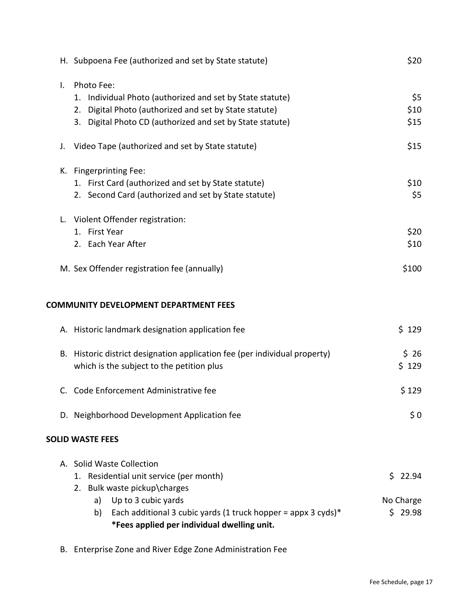| H. Subpoena Fee (authorized and set by State statute)                                                                                                                                                    |                                             | \$20                |
|----------------------------------------------------------------------------------------------------------------------------------------------------------------------------------------------------------|---------------------------------------------|---------------------|
| Photo Fee:<br>Individual Photo (authorized and set by State statute)<br>1.<br>Digital Photo (authorized and set by State statute)<br>2.<br>Digital Photo CD (authorized and set by State statute)<br>3.  |                                             | \$5<br>\$10<br>\$15 |
| Video Tape (authorized and set by State statute)                                                                                                                                                         |                                             | \$15                |
| K. Fingerprinting Fee:<br>1. First Card (authorized and set by State statute)<br>2. Second Card (authorized and set by State statute)                                                                    |                                             | \$10<br>\$5         |
| L. Violent Offender registration:<br>1. First Year<br>2. Each Year After                                                                                                                                 |                                             | \$20<br>\$10        |
| M. Sex Offender registration fee (annually)                                                                                                                                                              |                                             | \$100               |
| <b>COMMUNITY DEVELOPMENT DEPARTMENT FEES</b>                                                                                                                                                             |                                             |                     |
| A. Historic landmark designation application fee                                                                                                                                                         |                                             | \$129               |
| B. Historic district designation application fee (per individual property)<br>which is the subject to the petition plus                                                                                  |                                             | \$26<br>\$129       |
| C. Code Enforcement Administrative fee                                                                                                                                                                   |                                             | \$129               |
| D. Neighborhood Development Application fee                                                                                                                                                              |                                             | \$0                 |
| <b>SOLID WASTE FEES</b>                                                                                                                                                                                  |                                             |                     |
| A. Solid Waste Collection<br>1. Residential unit service (per month)<br>2. Bulk waste pickup\charges<br>Up to 3 cubic yards<br>a)<br>Each additional 3 cubic yards (1 truck hopper = appx 3 cyds)*<br>b) | Ś.<br>No Charge                             | 22.94<br>\$29.98    |
|                                                                                                                                                                                                          | *Fees applied per individual dwelling unit. |                     |

B. Enterprise Zone and River Edge Zone Administration Fee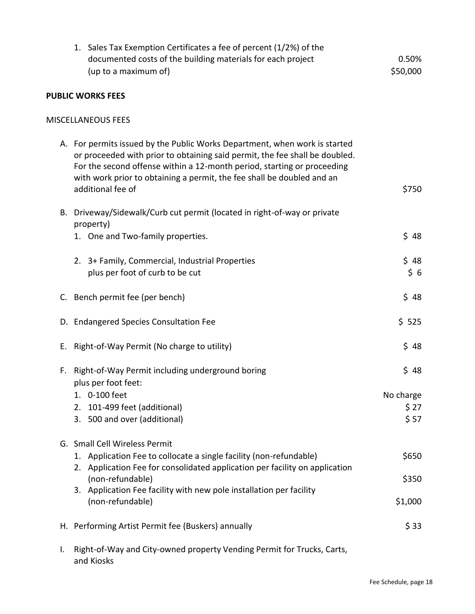|    | 1. Sales Tax Exemption Certificates a fee of percent (1/2%) of the<br>documented costs of the building materials for each project<br>(up to a maximum of)                                                                                                                                                                           | 0.50%<br>\$50,000                  |
|----|-------------------------------------------------------------------------------------------------------------------------------------------------------------------------------------------------------------------------------------------------------------------------------------------------------------------------------------|------------------------------------|
|    | <b>PUBLIC WORKS FEES</b>                                                                                                                                                                                                                                                                                                            |                                    |
|    | <b>MISCELLANEOUS FEES</b>                                                                                                                                                                                                                                                                                                           |                                    |
|    | A. For permits issued by the Public Works Department, when work is started<br>or proceeded with prior to obtaining said permit, the fee shall be doubled.<br>For the second offense within a 12-month period, starting or proceeding<br>with work prior to obtaining a permit, the fee shall be doubled and an<br>additional fee of | \$750                              |
|    | B. Driveway/Sidewalk/Curb cut permit (located in right-of-way or private<br>property)                                                                                                                                                                                                                                               |                                    |
|    | 1. One and Two-family properties.                                                                                                                                                                                                                                                                                                   | \$48                               |
|    | 2. 3+ Family, Commercial, Industrial Properties<br>plus per foot of curb to be cut                                                                                                                                                                                                                                                  | \$48<br>\$6                        |
|    | C. Bench permit fee (per bench)                                                                                                                                                                                                                                                                                                     | \$48                               |
|    | D. Endangered Species Consultation Fee                                                                                                                                                                                                                                                                                              | \$525                              |
| Е. | Right-of-Way Permit (No charge to utility)                                                                                                                                                                                                                                                                                          | \$48                               |
| F. | Right-of-Way Permit including underground boring<br>plus per foot feet:<br>1. 0-100 feet<br>101-499 feet (additional)<br>2.<br>3. 500 and over (additional)                                                                                                                                                                         | \$48<br>No charge<br>\$ 27<br>\$57 |
|    | G. Small Cell Wireless Permit<br>1. Application Fee to collocate a single facility (non-refundable)<br>2. Application Fee for consolidated application per facility on application<br>(non-refundable)<br>3. Application Fee facility with new pole installation per facility<br>(non-refundable)                                   | \$650<br>\$350<br>\$1,000          |
|    | H. Performing Artist Permit fee (Buskers) annually                                                                                                                                                                                                                                                                                  | \$33                               |
| I. | Right-of-Way and City-owned property Vending Permit for Trucks, Carts,                                                                                                                                                                                                                                                              |                                    |

and Kiosks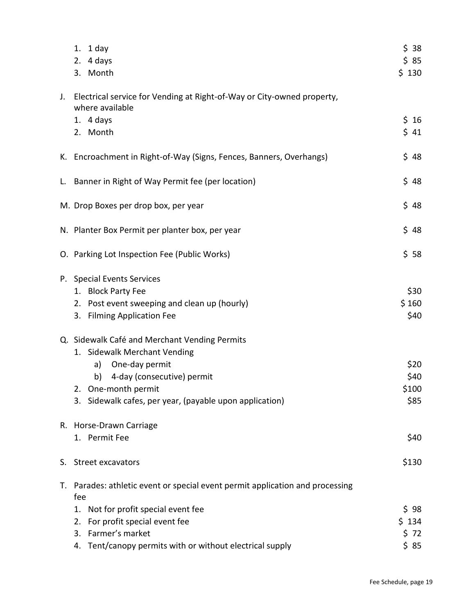|    | 1. $1$ day<br>4 days<br>2.<br>3. Month                                                    | \$38<br>\$85<br>\$130 |
|----|-------------------------------------------------------------------------------------------|-----------------------|
| J. | Electrical service for Vending at Right-of-Way or City-owned property,<br>where available |                       |
|    | 1. $4 \text{ days}$                                                                       | $$16$                 |
|    | 2. Month                                                                                  | $$41$                 |
|    | K. Encroachment in Right-of-Way (Signs, Fences, Banners, Overhangs)                       | \$48                  |
|    | L. Banner in Right of Way Permit fee (per location)                                       | \$48                  |
|    | M. Drop Boxes per drop box, per year                                                      | \$48                  |
|    | N. Planter Box Permit per planter box, per year                                           | \$48                  |
|    | O. Parking Lot Inspection Fee (Public Works)                                              | \$58                  |
|    | P. Special Events Services                                                                |                       |
|    | 1. Block Party Fee                                                                        | \$30                  |
|    | Post event sweeping and clean up (hourly)<br>2.<br><b>Filming Application Fee</b><br>3.   | \$160<br>\$40         |
|    | Q. Sidewalk Café and Merchant Vending Permits                                             |                       |
|    | 1. Sidewalk Merchant Vending                                                              |                       |
|    | One-day permit<br>a)                                                                      | \$20                  |
|    | 4-day (consecutive) permit<br>b)                                                          | \$40                  |
|    | 2. One-month permit                                                                       | \$100                 |
|    | 3. Sidewalk cafes, per year, (payable upon application)                                   | \$85                  |
|    | R. Horse-Drawn Carriage                                                                   |                       |
|    | 1. Permit Fee                                                                             | \$40                  |
| S. | Street excavators                                                                         | \$130                 |
| Т. | Parades: athletic event or special event permit application and processing<br>fee         |                       |
|    | Not for profit special event fee<br>1.                                                    | \$98                  |
|    | For profit special event fee<br>2.                                                        | \$134                 |
|    | Farmer's market<br>3.                                                                     | \$72                  |
|    | Tent/canopy permits with or without electrical supply<br>4.                               | \$85                  |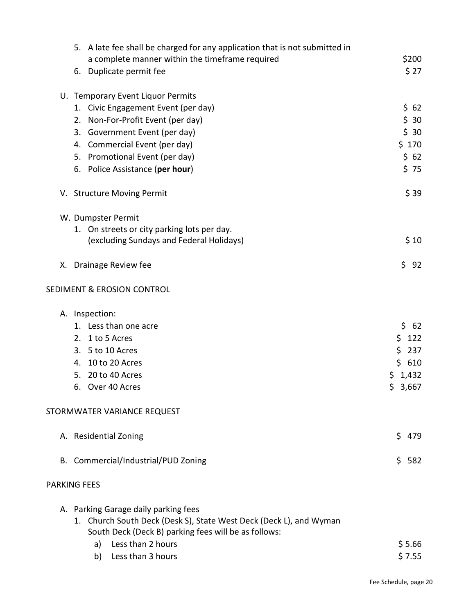| 5. A late fee shall be charged for any application that is not submitted in                                                                                                                   |             |
|-----------------------------------------------------------------------------------------------------------------------------------------------------------------------------------------------|-------------|
| a complete manner within the timeframe required                                                                                                                                               | \$200       |
| 6. Duplicate permit fee                                                                                                                                                                       | \$27        |
| U. Temporary Event Liquor Permits                                                                                                                                                             |             |
| 1. Civic Engagement Event (per day)                                                                                                                                                           | \$62        |
| 2. Non-For-Profit Event (per day)                                                                                                                                                             | \$30        |
| 3. Government Event (per day)                                                                                                                                                                 | \$30        |
| 4. Commercial Event (per day)                                                                                                                                                                 | \$170       |
| 5. Promotional Event (per day)                                                                                                                                                                | \$62        |
| 6. Police Assistance (per hour)                                                                                                                                                               | \$75        |
| V. Structure Moving Permit                                                                                                                                                                    | \$39        |
| W. Dumpster Permit                                                                                                                                                                            |             |
| 1. On streets or city parking lots per day.                                                                                                                                                   |             |
| (excluding Sundays and Federal Holidays)                                                                                                                                                      | \$10        |
| X. Drainage Review fee                                                                                                                                                                        | \$<br>92    |
| <b>SEDIMENT &amp; EROSION CONTROL</b>                                                                                                                                                         |             |
| A. Inspection:                                                                                                                                                                                |             |
| 1. Less than one acre                                                                                                                                                                         | \$62        |
| 2. 1 to 5 Acres                                                                                                                                                                               | \$<br>122   |
| 3. 5 to 10 Acres                                                                                                                                                                              | \$<br>237   |
| 4. 10 to 20 Acres                                                                                                                                                                             | \$610       |
| 5. 20 to 40 Acres                                                                                                                                                                             | \$1,432     |
| Over 40 Acres<br>6.                                                                                                                                                                           | \$<br>3,667 |
| STORMWATER VARIANCE REQUEST                                                                                                                                                                   |             |
| A. Residential Zoning                                                                                                                                                                         | Ś.<br>479   |
| B. Commercial/Industrial/PUD Zoning                                                                                                                                                           | Ŝ.<br>582   |
| <b>PARKING FEES</b>                                                                                                                                                                           |             |
| A. Parking Garage daily parking fees<br>1. Church South Deck (Desk S), State West Deck (Deck L), and Wyman<br>South Deck (Deck B) parking fees will be as follows:<br>Less than 2 hours<br>a) | \$5.66      |
| Less than 3 hours<br>b)                                                                                                                                                                       | \$7.55      |
|                                                                                                                                                                                               |             |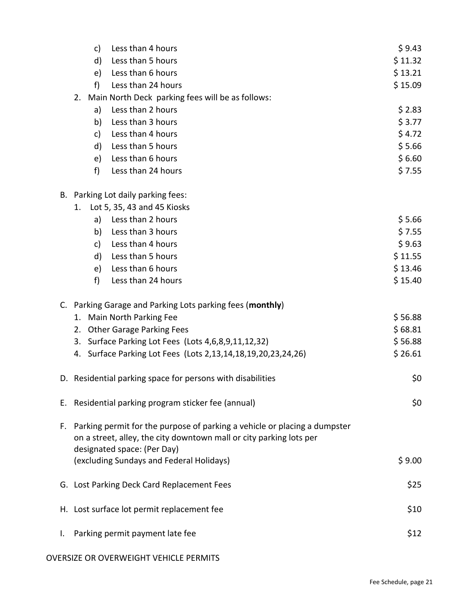|    |    | c)           | Less than 4 hours                                                                                                                                                                  | \$9.43  |
|----|----|--------------|------------------------------------------------------------------------------------------------------------------------------------------------------------------------------------|---------|
|    |    | d)           | Less than 5 hours                                                                                                                                                                  | \$11.32 |
|    |    | e)           | Less than 6 hours                                                                                                                                                                  | \$13.21 |
|    |    | f            | Less than 24 hours                                                                                                                                                                 | \$15.09 |
|    | 2. |              | Main North Deck parking fees will be as follows:                                                                                                                                   |         |
|    |    | a)           | Less than 2 hours                                                                                                                                                                  | \$2.83  |
|    |    | b)           | Less than 3 hours                                                                                                                                                                  | \$3.77  |
|    |    | c)           | Less than 4 hours                                                                                                                                                                  | \$4.72  |
|    |    | d)           | Less than 5 hours                                                                                                                                                                  | \$5.66  |
|    |    | e)           | Less than 6 hours                                                                                                                                                                  | \$6.60  |
|    |    | f)           | Less than 24 hours                                                                                                                                                                 | \$7.55  |
|    |    |              | B. Parking Lot daily parking fees:                                                                                                                                                 |         |
|    | 1. |              | Lot 5, 35, 43 and 45 Kiosks                                                                                                                                                        |         |
|    |    | a)           | Less than 2 hours                                                                                                                                                                  | \$5.66  |
|    |    | b)           | Less than 3 hours                                                                                                                                                                  | \$7.55  |
|    |    | c)           | Less than 4 hours                                                                                                                                                                  | \$9.63  |
|    |    | $\mathsf{d}$ | Less than 5 hours                                                                                                                                                                  | \$11.55 |
|    |    | e)           | Less than 6 hours                                                                                                                                                                  | \$13.46 |
|    |    | f)           | Less than 24 hours                                                                                                                                                                 | \$15.40 |
|    |    |              | C. Parking Garage and Parking Lots parking fees (monthly)                                                                                                                          |         |
|    | 1. |              | Main North Parking Fee                                                                                                                                                             | \$56.88 |
|    | 2. |              | <b>Other Garage Parking Fees</b>                                                                                                                                                   | \$68.81 |
|    | 3. |              | Surface Parking Lot Fees (Lots 4,6,8,9,11,12,32)                                                                                                                                   | \$56.88 |
|    | 4. |              | Surface Parking Lot Fees (Lots 2,13,14,18,19,20,23,24,26)                                                                                                                          | \$26.61 |
|    |    |              | D. Residential parking space for persons with disabilities                                                                                                                         | \$0     |
|    |    |              | E. Residential parking program sticker fee (annual)                                                                                                                                | \$0     |
|    |    |              | F. Parking permit for the purpose of parking a vehicle or placing a dumpster<br>on a street, alley, the city downtown mall or city parking lots per<br>designated space: (Per Day) |         |
|    |    |              | (excluding Sundays and Federal Holidays)                                                                                                                                           | \$9.00  |
|    |    |              | G. Lost Parking Deck Card Replacement Fees                                                                                                                                         | \$25    |
|    |    |              | H. Lost surface lot permit replacement fee                                                                                                                                         | \$10    |
| Ι. |    |              | Parking permit payment late fee                                                                                                                                                    | \$12    |

#### OVERSIZE OR OVERWEIGHT VEHICLE PERMITS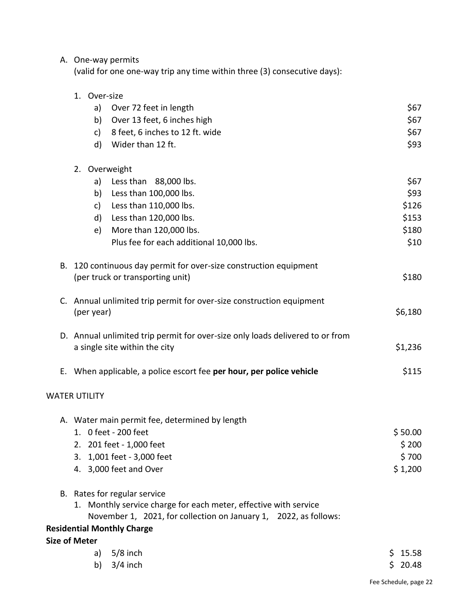# A. One-way permits

(valid for one one-way trip any time within three (3) consecutive days):

|    | 1. Over-size                                                                  |             |
|----|-------------------------------------------------------------------------------|-------------|
|    | a)<br>Over 72 feet in length                                                  | \$67        |
|    | Over 13 feet, 6 inches high<br>b)                                             | \$67        |
|    | 8 feet, 6 inches to 12 ft. wide<br>c)                                         | \$67        |
|    | Wider than 12 ft.<br>d)                                                       | \$93        |
|    | 2. Overweight                                                                 |             |
|    | a)<br>Less than 88,000 lbs.                                                   | \$67        |
|    | Less than 100,000 lbs.<br>b)                                                  | \$93        |
|    | Less than 110,000 lbs.<br>c)                                                  | \$126       |
|    | d) Less than 120,000 lbs.                                                     | \$153       |
|    | More than 120,000 lbs.<br>e)                                                  | \$180       |
|    | Plus fee for each additional 10,000 lbs.                                      | \$10        |
| В. | 120 continuous day permit for over-size construction equipment                |             |
|    | (per truck or transporting unit)                                              | \$180       |
| C. | Annual unlimited trip permit for over-size construction equipment             |             |
|    | (per year)                                                                    | \$6,180     |
|    | D. Annual unlimited trip permit for over-size only loads delivered to or from |             |
|    | a single site within the city                                                 | \$1,236     |
| Е. | When applicable, a police escort fee per hour, per police vehicle             | \$115       |
|    | <b>WATER UTILITY</b>                                                          |             |
|    | A. Water main permit fee, determined by length                                |             |
|    | 1. 0 feet - 200 feet                                                          | \$50.00     |
|    | 2. 201 feet - 1,000 feet                                                      | \$200       |
|    | 1,001 feet - 3,000 feet<br>3.                                                 | \$700       |
|    | 4. 3,000 feet and Over                                                        | \$1,200     |
|    | B. Rates for regular service                                                  |             |
|    | 1. Monthly service charge for each meter, effective with service              |             |
|    | November 1, 2021, for collection on January 1, 2022, as follows:              |             |
|    | <b>Residential Monthly Charge</b>                                             |             |
|    | <b>Size of Meter</b>                                                          |             |
|    | $5/8$ inch<br>a)                                                              | \$15.58     |
|    | $3/4$ inch<br>b)                                                              | 20.48<br>Ś. |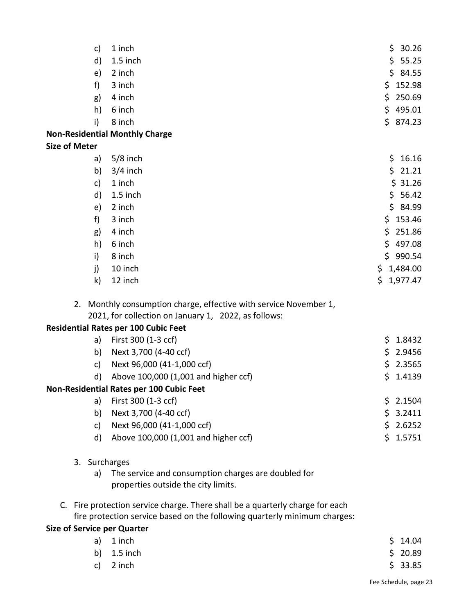| c)                                 | 1 inch                                                                        |     | \$30.26  |
|------------------------------------|-------------------------------------------------------------------------------|-----|----------|
| d)                                 | 1.5 inch                                                                      | \$  | 55.25    |
| e)                                 | 2 inch                                                                        |     | \$4.55   |
| f)                                 | 3 inch                                                                        |     | \$152.98 |
| g)                                 | 4 inch                                                                        | \$  | 250.69   |
| h)                                 | 6 inch                                                                        | \$  | 495.01   |
| i)                                 | 8 inch                                                                        |     | \$874.23 |
|                                    | <b>Non-Residential Monthly Charge</b>                                         |     |          |
| <b>Size of Meter</b>               |                                                                               |     |          |
| a)                                 | $5/8$ inch                                                                    | \$. | 16.16    |
| b)                                 | $3/4$ inch                                                                    | \$  | 21.21    |
| c)                                 | 1 inch                                                                        |     | \$31.26  |
| d)                                 | 1.5 inch                                                                      |     | \$56.42  |
| e)                                 | 2 inch                                                                        |     | \$4.99   |
| f)                                 | 3 inch                                                                        |     | \$153.46 |
| g)                                 | 4 inch                                                                        | \$  | 251.86   |
| h)                                 | 6 inch                                                                        |     | \$497.08 |
| i)                                 | 8 inch                                                                        | \$  | 990.54   |
| j)                                 | 10 inch                                                                       | \$. | 1,484.00 |
| k)                                 | 12 inch                                                                       | \$  | 1,977.47 |
|                                    | 2. Monthly consumption charge, effective with service November 1,             |     |          |
|                                    | 2021, for collection on January 1, 2022, as follows:                          |     |          |
|                                    | <b>Residential Rates per 100 Cubic Feet</b>                                   |     |          |
| a)                                 | First 300 (1-3 ccf)                                                           | \$  | 1.8432   |
| b)                                 | Next 3,700 (4-40 ccf)                                                         | \$. | 2.9456   |
| c)                                 | Next 96,000 (41-1,000 ccf)                                                    | \$. | 2.3565   |
| d)                                 | Above 100,000 (1,001 and higher ccf)                                          | \$  | 1.4139   |
|                                    | Non-Residential Rates per 100 Cubic Feet                                      |     |          |
| a)                                 | First 300 (1-3 ccf)                                                           |     | \$2.1504 |
| b)                                 | Next 3,700 (4-40 ccf)                                                         |     | \$3.2411 |
| c)                                 | Next 96,000 (41-1,000 ccf)                                                    |     | \$2.6252 |
| d)                                 | Above 100,000 (1,001 and higher ccf)                                          | \$  | 1.5751   |
| 3. Surcharges                      |                                                                               |     |          |
| a)                                 | The service and consumption charges are doubled for                           |     |          |
|                                    | properties outside the city limits.                                           |     |          |
|                                    | C. Fire protection service charge. There shall be a quarterly charge for each |     |          |
|                                    | fire protection service based on the following quarterly minimum charges:     |     |          |
| <b>Size of Service per Quarter</b> |                                                                               |     |          |
| a)                                 | 1 inch                                                                        | \$  | 14.04    |
| b)                                 | 1.5 inch                                                                      | \$  | 20.89    |
| c)                                 | 2 inch                                                                        |     | \$33.85  |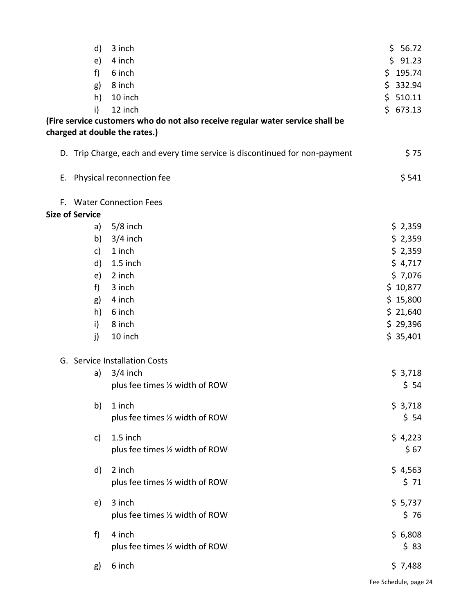|                                                                                | \$91.23  |
|--------------------------------------------------------------------------------|----------|
| e)<br>4 inch                                                                   |          |
| f)<br>6 inch                                                                   | \$195.74 |
| 8 inch<br>g)                                                                   | \$332.94 |
| 10 inch<br>h)                                                                  | \$510.11 |
| 12 inch<br>i)                                                                  | \$673.13 |
| (Fire service customers who do not also receive regular water service shall be |          |
| charged at double the rates.)                                                  |          |
| D. Trip Charge, each and every time service is discontinued for non-payment    | \$75     |
| Physical reconnection fee<br>Ε.                                                | \$541    |
| <b>Water Connection Fees</b><br>F.                                             |          |
| <b>Size of Service</b>                                                         |          |
| $5/8$ inch<br>a)                                                               | \$2,359  |
| b)<br>$3/4$ inch                                                               | \$2,359  |
| 1 inch<br>c)                                                                   | \$2,359  |
| d)<br>1.5 inch                                                                 | \$4,717  |
| 2 inch<br>e)                                                                   | \$7,076  |
| f)<br>3 inch                                                                   | \$10,877 |
| 4 inch<br>g)                                                                   | \$15,800 |
| 6 inch<br>h)                                                                   | \$21,640 |
| 8 inch<br>i)                                                                   | \$29,396 |
| j)<br>10 inch                                                                  | \$35,401 |
| G. Service Installation Costs                                                  |          |
| $3/4$ inch<br>a)                                                               | \$3,718  |
| plus fee times 1/2 width of ROW                                                | \$54     |
| 1 inch<br>b)                                                                   | \$3,718  |
| plus fee times 1/2 width of ROW                                                | \$54     |
| 1.5 inch<br>c)                                                                 | \$4,223  |
| plus fee times 1/2 width of ROW                                                | \$67     |
| 2 inch<br>d)                                                                   | \$4,563  |
| plus fee times 1/2 width of ROW                                                | \$71     |
| 3 inch<br>e)                                                                   | \$5,737  |
| plus fee times 1/2 width of ROW                                                | \$76     |
| 4 inch<br>f)                                                                   | \$6,808  |
| plus fee times 1/2 width of ROW                                                | \$83     |
| 6 inch<br>g)                                                                   | \$7,488  |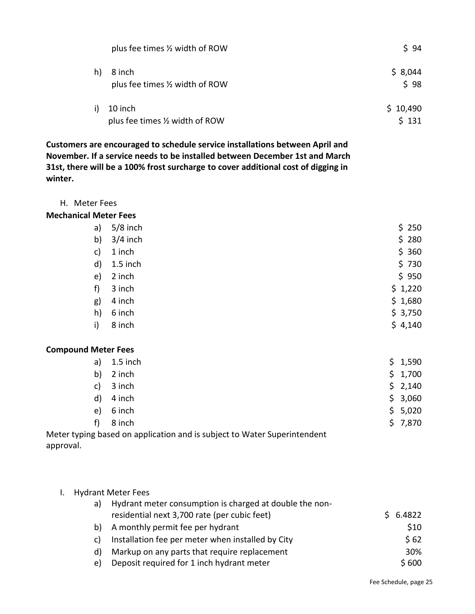|              | plus fee times 1/2 width of ROW            | \$94              |
|--------------|--------------------------------------------|-------------------|
| h)           | 8 inch<br>plus fee times 1/2 width of ROW  | \$8,044<br>\$98   |
| $\mathsf{i}$ | 10 inch<br>plus fee times 1/2 width of ROW | \$10,490<br>\$131 |

**Customers are encouraged to schedule service installations between April and November. If a service needs to be installed between December 1st and March 31st, there will be a 100% frost surcharge to cover additional cost of digging in winter.**

H. Meter Fees

## **Mechanical Meter Fees**

| a)            | $5/8$ inch | \$250   |
|---------------|------------|---------|
| b)            | $3/4$ inch | \$280   |
| $\mathsf{c})$ | 1 inch     | \$360   |
| d)            | 1.5 inch   | \$730   |
| e)            | 2 inch     | \$950   |
| f)            | 3 inch     | \$1,220 |
| g)            | 4 inch     | \$1,680 |
| h)            | 6 inch     | \$3,750 |
| i)            | 8 inch     | \$4,140 |

## **Compound Meter Fees**

| a)                                                            | $1.5$ inch |  | \$1,590 |
|---------------------------------------------------------------|------------|--|---------|
| b)                                                            | 2 inch     |  | \$1,700 |
| C)                                                            | 3 inch     |  | \$2,140 |
| d)                                                            | 4 inch     |  | \$3,060 |
| e)                                                            | 6 inch     |  | \$5,020 |
| $-f)$                                                         | 8 inch     |  | \$7,870 |
| a based on application and is subject to Water Superintendent |            |  |         |

Meter typing based on application and is subject to Water Superintendent approval.

| <b>Hydrant Meter Fees</b> |                                                         |  |        |
|---------------------------|---------------------------------------------------------|--|--------|
| a)                        | Hydrant meter consumption is charged at double the non- |  |        |
|                           | residential next 3,700 rate (per cubic feet)            |  | 6.4822 |
| b)                        | A monthly permit fee per hydrant                        |  | \$10   |
| C)                        | Installation fee per meter when installed by City       |  | \$62   |
| d)                        | Markup on any parts that require replacement            |  | 30%    |
| e)                        | Deposit required for 1 inch hydrant meter               |  | \$600  |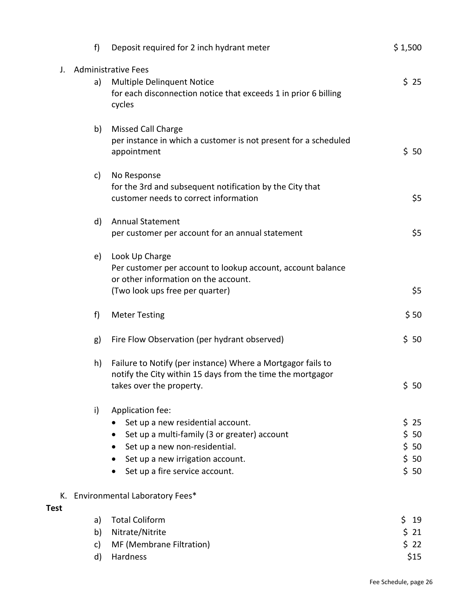|             | f  | Deposit required for 2 inch hydrant meter                       | \$1,500      |
|-------------|----|-----------------------------------------------------------------|--------------|
| J.          |    | <b>Administrative Fees</b>                                      |              |
|             | a) | <b>Multiple Delinquent Notice</b>                               | \$25         |
|             |    | for each disconnection notice that exceeds 1 in prior 6 billing |              |
|             |    | cycles                                                          |              |
|             | b) | <b>Missed Call Charge</b>                                       |              |
|             |    | per instance in which a customer is not present for a scheduled |              |
|             |    | appointment                                                     | \$50         |
|             | c) | No Response                                                     |              |
|             |    | for the 3rd and subsequent notification by the City that        |              |
|             |    | customer needs to correct information                           | \$5          |
|             | d) | <b>Annual Statement</b>                                         |              |
|             |    | per customer per account for an annual statement                | \$5          |
|             | e) | Look Up Charge                                                  |              |
|             |    | Per customer per account to lookup account, account balance     |              |
|             |    | or other information on the account.                            |              |
|             |    | (Two look ups free per quarter)                                 | \$5          |
|             | f) | <b>Meter Testing</b>                                            | \$50         |
|             | g) | Fire Flow Observation (per hydrant observed)                    | \$50         |
|             | h) | Failure to Notify (per instance) Where a Mortgagor fails to     |              |
|             |    | notify the City within 15 days from the time the mortgagor      |              |
|             |    | takes over the property.                                        | \$50         |
|             | i) | Application fee:                                                |              |
|             |    | Set up a new residential account.                               | \$25         |
|             |    | Set up a multi-family (3 or greater) account                    | \$50         |
|             |    | Set up a new non-residential.                                   | \$50         |
|             |    | Set up a new irrigation account.                                | \$50         |
|             |    | Set up a fire service account.                                  | \$50         |
|             |    | K. Environmental Laboratory Fees*                               |              |
| <b>Test</b> |    |                                                                 |              |
|             | a) | <b>Total Coliform</b>                                           | \$<br>19     |
|             | b) | Nitrate/Nitrite                                                 | $$21$        |
|             | c) | MF (Membrane Filtration)<br>Hardness                            | \$22<br>\$15 |
|             | d) |                                                                 |              |